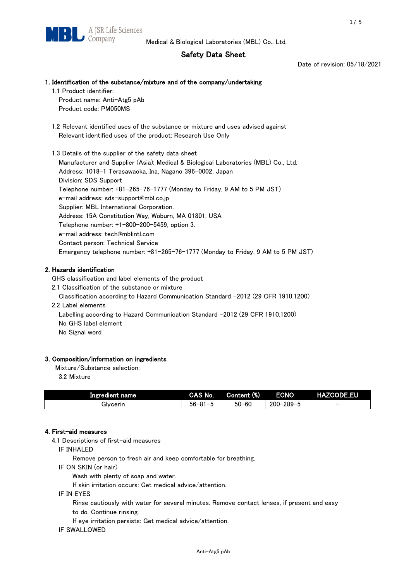# Safety Data Sheet

Date of revision: 05/18/2021

## 1. Identification of the substance/mixture and of the company/undertaking

1.1 Product identifier:

Product name: Anti-Atg5 pAb Product code: PM050MS

 1.2 Relevant identified uses of the substance or mixture and uses advised against Relevant identified uses of the product: Research Use Only

 1.3 Details of the supplier of the safety data sheet Manufacturer and Supplier (Asia): Medical & Biological Laboratories (MBL) Co., Ltd. Address: 1018-1 Terasawaoka, Ina, Nagano 396-0002, Japan Division: SDS Support Telephone number: +81-265-76-1777 (Monday to Friday, 9 AM to 5 PM JST) e-mail address: sds-support@mbl.co.jp Supplier: MBL International Corporation. Address: 15A Constitution Way, Woburn, MA 01801, USA Telephone number: +1-800-200-5459, option 3. e-mail address: tech@mblintl.com Contact person: Technical Service Emergency telephone number: +81-265-76-1777 (Monday to Friday, 9 AM to 5 PM JST)

# 2. Hazards identification

GHS classification and label elements of the product

2.1 Classification of the substance or mixture

Classification according to Hazard Communication Standard -2012 (29 CFR 1910.1200)

2.2 Label elements

Labelling according to Hazard Communication Standard -2012 (29 CFR 1910.1200) No GHS label element

No Signal word

## 3. Composition/information on ingredients

Mixture/Substance selection:

3.2 Mixture

| Ingredient name | CAS No.          | Content (%) | <b>ECNO</b>                                         | <b>HAZCODE EU</b>        |
|-----------------|------------------|-------------|-----------------------------------------------------|--------------------------|
| Givcerin        | $56 - 81 -$<br>. | $50 - 60$   | $-289 - 5$<br>$\overline{\phantom{0}}$<br>$200 - 2$ | $\overline{\phantom{0}}$ |

## 4. First-aid measures

4.1 Descriptions of first-aid measures

IF INHALED

Remove person to fresh air and keep comfortable for breathing.

IF ON SKIN (or hair)

Wash with plenty of soap and water.

If skin irritation occurs: Get medical advice/attention.

IF IN EYES

Rinse cautiously with water for several minutes. Remove contact lenses, if present and easy

to do. Continue rinsing.

If eye irritation persists: Get medical advice/attention.

IF SWALLOWED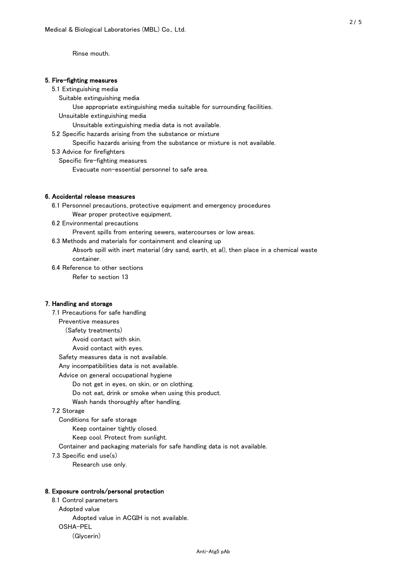Rinse mouth.

#### 5. Fire-fighting measures

#### 5.1 Extinguishing media

Suitable extinguishing media

- Use appropriate extinguishing media suitable for surrounding facilities.
- Unsuitable extinguishing media

Unsuitable extinguishing media data is not available.

5.2 Specific hazards arising from the substance or mixture

Specific hazards arising from the substance or mixture is not available.

5.3 Advice for firefighters

Specific fire-fighting measures

Evacuate non-essential personnel to safe area.

#### 6. Accidental release measures

 6.1 Personnel precautions, protective equipment and emergency procedures Wear proper protective equipment.

6.2 Environmental precautions

Prevent spills from entering sewers, watercourses or low areas.

6.3 Methods and materials for containment and cleaning up

 Absorb spill with inert material (dry sand, earth, et al), then place in a chemical waste container.

6.4 Reference to other sections

Refer to section 13

## 7. Handling and storage

 7.1 Precautions for safe handling Preventive measures (Safety treatments) Avoid contact with skin. Avoid contact with eyes. Safety measures data is not available. Any incompatibilities data is not available. Advice on general occupational hygiene Do not get in eyes, on skin, or on clothing. Do not eat, drink or smoke when using this product. Wash hands thoroughly after handling. 7.2 Storage Conditions for safe storage Keep container tightly closed.

Keep cool. Protect from sunlight.

Container and packaging materials for safe handling data is not available.

7.3 Specific end use(s)

Research use only.

#### 8. Exposure controls/personal protection

 8.1 Control parameters Adopted value Adopted value in ACGIH is not available. OSHA-PEL (Glycerin)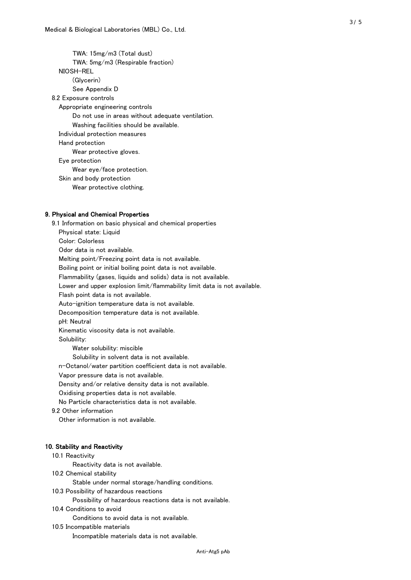TWA: 15mg/m3 (Total dust) TWA: 5mg/m3 (Respirable fraction) NIOSH-REL (Glycerin) See Appendix D 8.2 Exposure controls Appropriate engineering controls Do not use in areas without adequate ventilation. Washing facilities should be available. Individual protection measures Hand protection Wear protective gloves. Eye protection Wear eye/face protection. Skin and body protection Wear protective clothing.

#### 9. Physical and Chemical Properties

 9.1 Information on basic physical and chemical properties Physical state: Liquid Color: Colorless Odor data is not available. Melting point/Freezing point data is not available. Boiling point or initial boiling point data is not available. Flammability (gases, liquids and solids) data is not available. Lower and upper explosion limit/flammability limit data is not available. Flash point data is not available. Auto-ignition temperature data is not available. Decomposition temperature data is not available. pH: Neutral Kinematic viscosity data is not available. Solubility: Water solubility: miscible Solubility in solvent data is not available. n-Octanol/water partition coefficient data is not available. Vapor pressure data is not available. Density and/or relative density data is not available. Oxidising properties data is not available. No Particle characteristics data is not available. 9.2 Other information Other information is not available. 10. Stability and Reactivity 10.1 Reactivity Reactivity data is not available. 10.2 Chemical stability Stable under normal storage/handling conditions. 10.3 Possibility of hazardous reactions

Possibility of hazardous reactions data is not available.

#### 10.4 Conditions to avoid

Conditions to avoid data is not available.

10.5 Incompatible materials

Incompatible materials data is not available.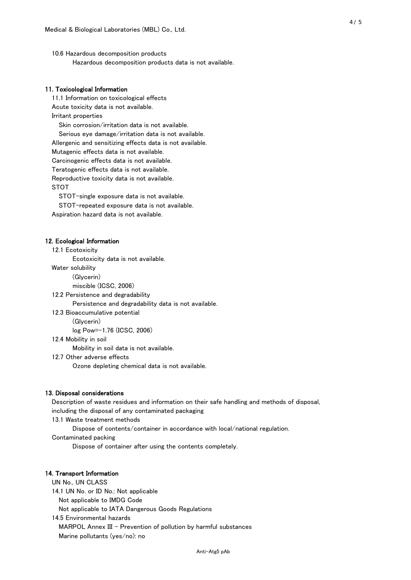10.6 Hazardous decomposition products Hazardous decomposition products data is not available.

## 11. Toxicological Information

 11.1 Information on toxicological effects Acute toxicity data is not available. Irritant properties Skin corrosion/irritation data is not available. Serious eye damage/irritation data is not available. Allergenic and sensitizing effects data is not available. Mutagenic effects data is not available. Carcinogenic effects data is not available. Teratogenic effects data is not available. Reproductive toxicity data is not available. STOT

STOT-single exposure data is not available.

STOT-repeated exposure data is not available.

Aspiration hazard data is not available.

#### 12. Ecological Information

12.1 Ecotoxicity

Ecotoxicity data is not available.

Water solubility

(Glycerin)

miscible (ICSC, 2006)

12.2 Persistence and degradability

Persistence and degradability data is not available.

12.3 Bioaccumulative potential

(Glycerin)

log Pow=-1.76 (ICSC, 2006)

12.4 Mobility in soil

Mobility in soil data is not available.

12.7 Other adverse effects

Ozone depleting chemical data is not available.

#### 13. Disposal considerations

 Description of waste residues and information on their safe handling and methods of disposal, including the disposal of any contaminated packaging

13.1 Waste treatment methods

Dispose of contents/container in accordance with local/national regulation.

Contaminated packing

Dispose of container after using the contents completely.

#### 14. Transport Information

 UN No., UN CLASS 14.1 UN No. or ID No.: Not applicable Not applicable to IMDG Code Not applicable to IATA Dangerous Goods Regulations

 14.5 Environmental hazards MARPOL Annex III - Prevention of pollution by harmful substances Marine pollutants (yes/no): no